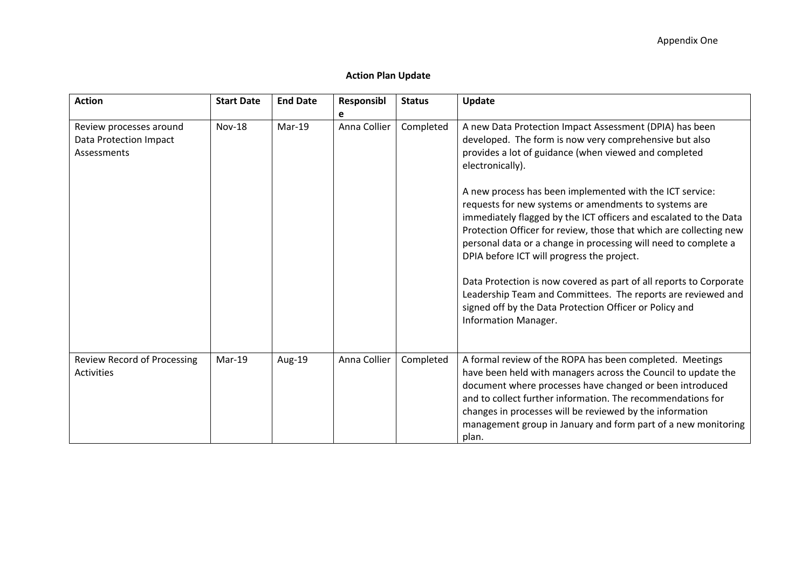## **Action Plan Update**

| <b>Action</b>                                    | <b>Start Date</b> | <b>End Date</b> | Responsibl   | <b>Status</b> | Update                                                                                                                                                                                                                                                                                                                                                                                     |
|--------------------------------------------------|-------------------|-----------------|--------------|---------------|--------------------------------------------------------------------------------------------------------------------------------------------------------------------------------------------------------------------------------------------------------------------------------------------------------------------------------------------------------------------------------------------|
|                                                  |                   |                 | e            |               |                                                                                                                                                                                                                                                                                                                                                                                            |
| Review processes around                          | <b>Nov-18</b>     | Mar-19          | Anna Collier | Completed     | A new Data Protection Impact Assessment (DPIA) has been                                                                                                                                                                                                                                                                                                                                    |
| Data Protection Impact                           |                   |                 |              |               | developed. The form is now very comprehensive but also                                                                                                                                                                                                                                                                                                                                     |
| Assessments                                      |                   |                 |              |               | provides a lot of guidance (when viewed and completed<br>electronically).                                                                                                                                                                                                                                                                                                                  |
|                                                  |                   |                 |              |               | A new process has been implemented with the ICT service:                                                                                                                                                                                                                                                                                                                                   |
|                                                  |                   |                 |              |               | requests for new systems or amendments to systems are                                                                                                                                                                                                                                                                                                                                      |
|                                                  |                   |                 |              |               | immediately flagged by the ICT officers and escalated to the Data                                                                                                                                                                                                                                                                                                                          |
|                                                  |                   |                 |              |               | Protection Officer for review, those that which are collecting new                                                                                                                                                                                                                                                                                                                         |
|                                                  |                   |                 |              |               | personal data or a change in processing will need to complete a                                                                                                                                                                                                                                                                                                                            |
|                                                  |                   |                 |              |               | DPIA before ICT will progress the project.                                                                                                                                                                                                                                                                                                                                                 |
|                                                  |                   |                 |              |               | Data Protection is now covered as part of all reports to Corporate<br>Leadership Team and Committees. The reports are reviewed and<br>signed off by the Data Protection Officer or Policy and<br><b>Information Manager.</b>                                                                                                                                                               |
| <b>Review Record of Processing</b><br>Activities | Mar-19            | Aug-19          | Anna Collier | Completed     | A formal review of the ROPA has been completed. Meetings<br>have been held with managers across the Council to update the<br>document where processes have changed or been introduced<br>and to collect further information. The recommendations for<br>changes in processes will be reviewed by the information<br>management group in January and form part of a new monitoring<br>plan. |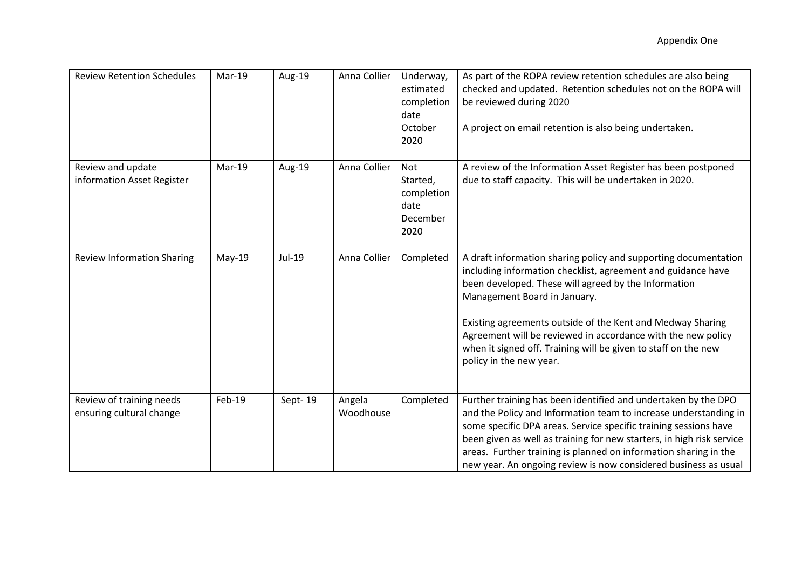| <b>Review Retention Schedules</b>                    | Mar-19   | Aug-19  | Anna Collier        | Underway,<br>estimated<br>completion<br>date<br>October<br>2020 | As part of the ROPA review retention schedules are also being<br>checked and updated. Retention schedules not on the ROPA will<br>be reviewed during 2020<br>A project on email retention is also being undertaken.                                                                                                                                                                                                                                |
|------------------------------------------------------|----------|---------|---------------------|-----------------------------------------------------------------|----------------------------------------------------------------------------------------------------------------------------------------------------------------------------------------------------------------------------------------------------------------------------------------------------------------------------------------------------------------------------------------------------------------------------------------------------|
| Review and update<br>information Asset Register      | Mar-19   | Aug-19  | Anna Collier        | Not<br>Started,<br>completion<br>date<br>December<br>2020       | A review of the Information Asset Register has been postponed<br>due to staff capacity. This will be undertaken in 2020.                                                                                                                                                                                                                                                                                                                           |
| <b>Review Information Sharing</b>                    | $May-19$ | Jul-19  | Anna Collier        | Completed                                                       | A draft information sharing policy and supporting documentation<br>including information checklist, agreement and guidance have<br>been developed. These will agreed by the Information<br>Management Board in January.<br>Existing agreements outside of the Kent and Medway Sharing<br>Agreement will be reviewed in accordance with the new policy<br>when it signed off. Training will be given to staff on the new<br>policy in the new year. |
| Review of training needs<br>ensuring cultural change | Feb-19   | Sept-19 | Angela<br>Woodhouse | Completed                                                       | Further training has been identified and undertaken by the DPO<br>and the Policy and Information team to increase understanding in<br>some specific DPA areas. Service specific training sessions have<br>been given as well as training for new starters, in high risk service<br>areas. Further training is planned on information sharing in the<br>new year. An ongoing review is now considered business as usual                             |